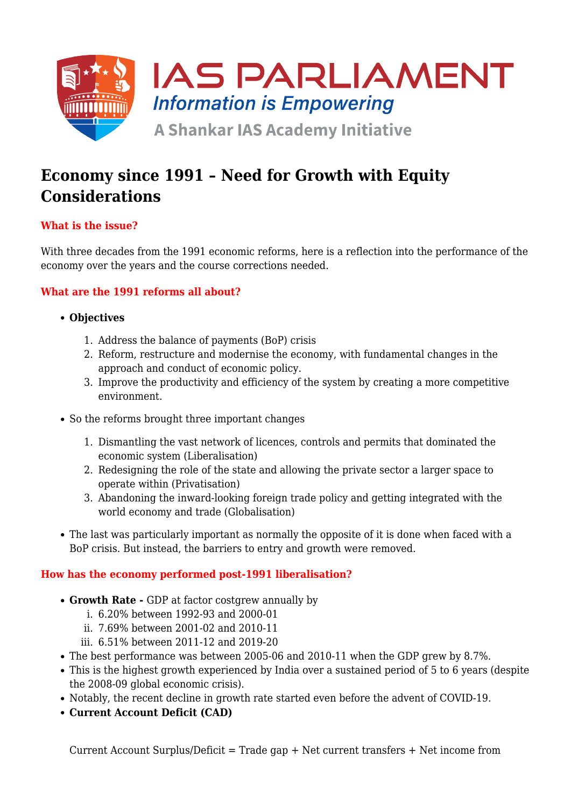

# **Economy since 1991 – Need for Growth with Equity Considerations**

# **What is the issue?**

With three decades from the 1991 economic reforms, here is a reflection into the performance of the economy over the years and the course corrections needed.

# **What are the 1991 reforms all about?**

#### **Objectives**

- 1. Address the balance of payments (BoP) crisis
- 2. Reform, restructure and modernise the economy, with fundamental changes in the approach and conduct of economic policy.
- 3. Improve the productivity and efficiency of the system by creating a more competitive environment.
- So the reforms brought three important changes
	- 1. Dismantling the vast network of licences, controls and permits that dominated the economic system (Liberalisation)
	- 2. Redesigning the role of the state and allowing the private sector a larger space to operate within (Privatisation)
	- 3. Abandoning the inward-looking foreign trade policy and getting integrated with the world economy and trade (Globalisation)
- The last was particularly important as normally the opposite of it is done when faced with a BoP crisis. But instead, the barriers to entry and growth were removed.

## **How has the economy performed post-1991 liberalisation?**

- **Growth Rate** GDP at factor costgrew annually by
	- i. 6.20% between 1992-93 and 2000-01
	- ii. 7.69% between 2001-02 and 2010-11
	- iii. 6.51% between 2011-12 and 2019-20
- The best performance was between 2005-06 and 2010-11 when the GDP grew by 8.7%.
- This is the highest growth experienced by India over a sustained period of 5 to 6 years (despite the 2008-09 global economic crisis).
- Notably, the recent decline in growth rate started even before the advent of COVID-19.
- **Current Account Deficit (CAD)**

Current Account Surplus/Deficit = Trade  $qap + Net$  current transfers  $+ Net$  income from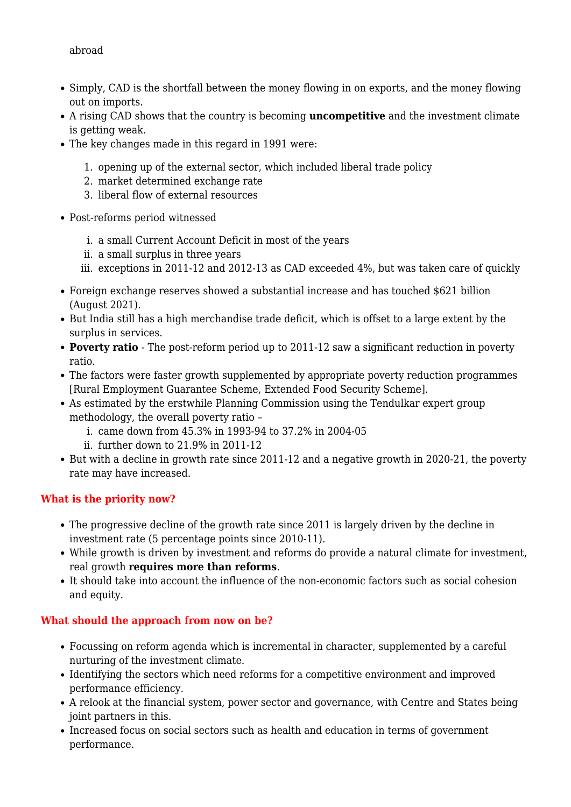- Simply, CAD is the shortfall between the money flowing in on exports, and the money flowing out on imports.
- A rising CAD shows that the country is becoming **uncompetitive** and the investment climate is getting weak.
- The key changes made in this regard in 1991 were:
	- 1. opening up of the external sector, which included liberal trade policy
	- 2. market determined exchange rate
	- 3. liberal flow of external resources
- Post-reforms period witnessed
	- i. a small Current Account Deficit in most of the years
	- ii. a small surplus in three years
	- iii. exceptions in 2011-12 and 2012-13 as CAD exceeded 4%, but was taken care of quickly
- Foreign exchange reserves showed a substantial increase and has touched \$621 billion (August 2021).
- But India still has a high merchandise trade deficit, which is offset to a large extent by the surplus in services.
- **Poverty ratio**  The post-reform period up to 2011-12 saw a significant reduction in poverty ratio.
- The factors were faster growth supplemented by appropriate poverty reduction programmes [Rural Employment Guarantee Scheme, Extended Food Security Scheme].
- As estimated by the erstwhile Planning Commission using the Tendulkar expert group methodology, the overall poverty ratio –
	- i. came down from 45.3% in 1993-94 to 37.2% in 2004-05
	- ii. further down to 21.9% in 2011-12
- But with a decline in growth rate since 2011-12 and a negative growth in 2020-21, the poverty rate may have increased.

## **What is the priority now?**

- The progressive decline of the growth rate since 2011 is largely driven by the decline in investment rate (5 percentage points since 2010-11).
- While growth is driven by investment and reforms do provide a natural climate for investment, real growth **requires more than reforms**.
- It should take into account the influence of the non-economic factors such as social cohesion and equity.

## **What should the approach from now on be?**

- Focussing on reform agenda which is incremental in character, supplemented by a careful nurturing of the investment climate.
- Identifying the sectors which need reforms for a competitive environment and improved performance efficiency.
- A relook at the financial system, power sector and governance, with Centre and States being joint partners in this.
- Increased focus on social sectors such as health and education in terms of government performance.